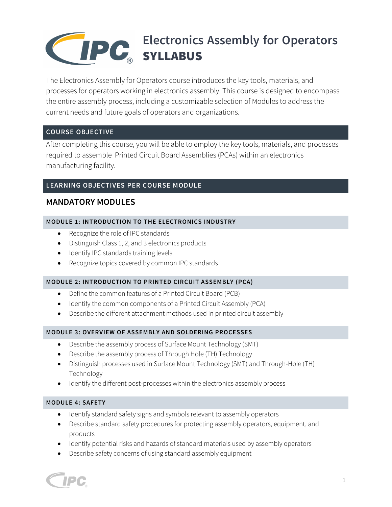# **PROGRAM DESCRIPTION Electronics Assembly for Operators**  SYLLABUS

The Electronics Assembly for Operators course introduces the key tools, materials, and processes for operators working in electronics assembly. This course is designed to encompass the entire assembly process, including a customizable selection of Modules to address the current needs and future goals of operators and organizations.

# **COURSE OBJECTIVE**

After completing this course, you will be able to employ the key tools, materials, and processes required to assemble Printed Circuit Board Assemblies (PCAs) within an electronics manufacturing facility.

# **LEARNING OBJECTIVES PER COURSE MODULE**

# **MANDATORY MODULES**

# **MODULE 1: INTRODUCTION TO THE ELECTRONICS INDUSTRY**

- Recognize the role of IPC standards
- Distinguish Class 1, 2, and 3 electronics products
- Identify IPC standards training levels
- Recognize topics covered by common IPC standards

### **MODULE 2: INTRODUCTION TO PRINTED CIRCUIT ASSEMBLY (PCA)**

- Define the common features of a Printed Circuit Board (PCB)
- Identify the common components of a Printed Circuit Assembly (PCA)
- Describe the different attachment methods used in printed circuit assembly

### **MODULE 3: OVERVIEW OF ASSEMBLY AND SOLDERING PROCESSES**

- Describe the assembly process of Surface Mount Technology (SMT)
- Describe the assembly process of Through Hole (TH) Technology
- Distinguish processes used in Surface Mount Technology (SMT) and Through-Hole (TH) Technology
- Identify the different post-processes within the electronics assembly process

### **MODULE 4: SAFETY**

- Identify standard safety signs and symbols relevant to assembly operators
- Describe standard safety procedures for protecting assembly operators, equipment, and products
- Identify potential risks and hazards of standard materials used by assembly operators
- Describe safety concerns of using standard assembly equipment

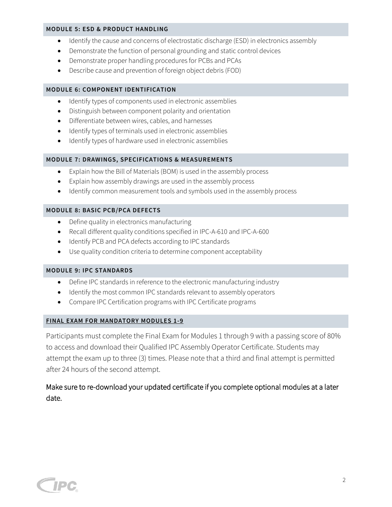#### **MODULE 5: ESD & PRODUCT HANDLING**

- Identify the cause and concerns of electrostatic discharge (ESD) in electronics assembly
- Demonstrate the function of personal grounding and static control devices
- Demonstrate proper handling procedures for PCBs and PCAs
- Describe cause and prevention of foreign object debris (FOD)

#### **MODULE 6: COMPONENT IDENTIFICATION**

- Identify types of components used in electronic assemblies
- Distinguish between component polarity and orientation
- Differentiate between wires, cables, and harnesses
- Identify types of terminals used in electronic assemblies
- Identify types of hardware used in electronic assemblies

#### **MODULE 7: DRAWINGS, SPECIFICATIONS & MEASUREMENTS**

- Explain how the Bill of Materials (BOM) is used in the assembly process
- Explain how assembly drawings are used in the assembly process
- Identify common measurement tools and symbols used in the assembly process

#### **MODULE 8: BASIC PCB/PCA DEFECTS**

- Define quality in electronics manufacturing
- Recall different quality conditions specified in IPC-A-610 and IPC-A-600
- Identify PCB and PCA defects according to IPC standards
- Use quality condition criteria to determine component acceptability

#### **MODULE 9: IPC STANDARDS**

- Define IPC standards in reference to the electronic manufacturing industry
- Identify the most common IPC standards relevant to assembly operators
- Compare IPC Certification programs with IPC Certificate programs

#### **FINAL EXAM FOR MANDATORY MODULES 1-9**

Participants must complete the Final Exam for Modules 1 through 9 with a passing score of 80% to access and download their Qualified IPC Assembly Operator Certificate. Students may attempt the exam up to three (3) times. Please note that a third and final attempt is permitted after 24 hours of the second attempt.

# Make sure to re-download your updated certificate if you complete optional modules at a later date.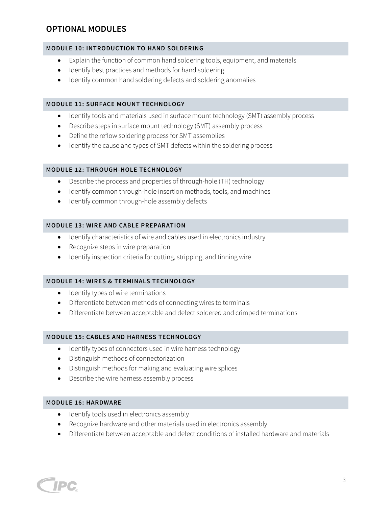# **OPTIONAL MODULES**

### **MODULE 10: INTRODUCTION TO HAND SOLDERING**

- Explain the function of common hand soldering tools, equipment, and materials
- Identify best practices and methods for hand soldering
- Identify common hand soldering defects and soldering anomalies

#### **MODULE 11: SURFACE MOUNT TECHNOLOGY**

- Identify tools and materials used in surface mount technology (SMT) assembly process
- Describe steps in surface mount technology (SMT) assembly process
- Define the reflow soldering process for SMT assemblies
- Identify the cause and types of SMT defects within the soldering process

#### **MODULE 12: THROUGH-HOLE TECHNOLOGY**

- Describe the process and properties of through-hole (TH) technology
- Identify common through-hole insertion methods, tools, and machines
- Identify common through-hole assembly defects

#### **MODULE 13: WIRE AND CABLE PREPARATION**

- Identify characteristics of wire and cables used in electronics industry
- Recognize steps in wire preparation
- Identify inspection criteria for cutting, stripping, and tinning wire

#### **MODULE 14: WIRES & TERMINALS TECHNOLOGY**

- Identify types of wire terminations
- Differentiate between methods of connecting wires to terminals
- Differentiate between acceptable and defect soldered and crimped terminations

#### **MODULE 15: CABLES AND HARNESS TECHNOLOGY**

- Identify types of connectors used in wire harness technology
- Distinguish methods of connectorization
- Distinguish methods for making and evaluating wire splices
- Describe the wire harness assembly process

#### **MODULE 16: HARDWARE**

- Identify tools used in electronics assembly
- Recognize hardware and other materials used in electronics assembly
- Differentiate between acceptable and defect conditions of installed hardware and materials

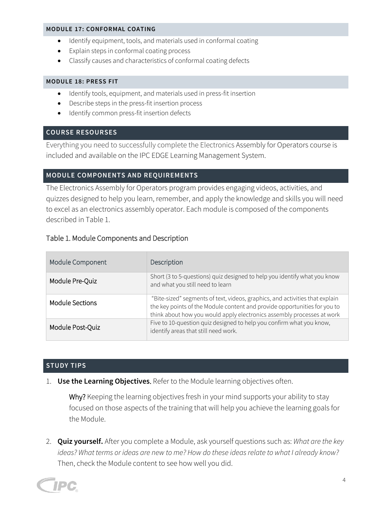#### **MODULE 17: CONFORMAL COATING**

- Identify equipment, tools, and materials used in conformal coating
- Explain steps in conformal coating process
- Classify causes and characteristics of conformal coating defects

#### **MODULE 18: PRESS FIT**

- Identify tools, equipment, and materials used in press-fit insertion
- Describe steps in the press-fit insertion process
- Identify common press-fit insertion defects

### **COURSE RESOURSES**

Everything you need to successfully complete the Electronics Assembly for Operators course is included and available on the IPC EDGE Learning Management System.

# **MODULE COMPONENTS AND REQUIREMENTS**

The Electronics Assembly for Operators program provides engaging videos, activities, and quizzes designed to help you learn, remember, and apply the knowledge and skills you will need to excel as an electronics assembly operator. Each module is composed of the components described in Table 1.

# Table 1. Module Components and Description

| Module Component       | Description                                                                                                                                                                                                                         |
|------------------------|-------------------------------------------------------------------------------------------------------------------------------------------------------------------------------------------------------------------------------------|
| Module Pre-Quiz        | Short (3 to 5-questions) quiz designed to help you identify what you know<br>and what you still need to learn                                                                                                                       |
| <b>Module Sections</b> | "Bite-sized" segments of text, videos, graphics, and activities that explain<br>the key points of the Module content and provide opportunities for you to<br>think about how you would apply electronics assembly processes at work |
| Module Post-Quiz       | Five to 10-question quiz designed to help you confirm what you know,<br>identify areas that still need work.                                                                                                                        |

### **STUDY TIPS**

1. **Use the Learning Objectives**. Refer to the Module learning objectives often.

Why? Keeping the learning objectives fresh in your mind supports your ability to stay focused on those aspects of the training that will help you achieve the learning goals for the Module.

2. **Quiz yourself.** After you complete a Module, ask yourself questions such as: *What are the key ideas? What terms or ideas are new to me? How do these ideas relate to what I already know?* Then, check the Module content to see how well you did.

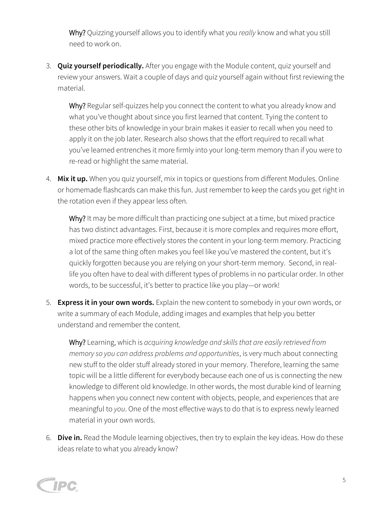Why? Quizzing yourself allows you to identify what you *really* know and what you still need to work on.

3. **Quiz yourself periodically.** After you engage with the Module content, quiz yourself and review your answers. Wait a couple of days and quiz yourself again without first reviewing the material.

Why? Regular self-quizzes help you connect the content to what you already know and what you've thought about since you first learned that content. Tying the content to these other bits of knowledge in your brain makes it easier to recall when you need to apply it on the job later. Research also shows that the effort required to recall what you've learned entrenches it more firmly into your long-term memory than if you were to re-read or highlight the same material.

4. **Mix it up.** When you quiz yourself, mix in topics or questions from different Modules. Online or homemade flashcards can make this fun. Just remember to keep the cards you get right in the rotation even if they appear less often.

Why? It may be more difficult than practicing one subject at a time, but mixed practice has two distinct advantages. First, because it is more complex and requires more effort, mixed practice more effectively stores the content in your long-term memory. Practicing a lot of the same thing often makes you feel like you've mastered the content, but it's quickly forgotten because you are relying on your short-term memory. Second, in reallife you often have to deal with different types of problems in no particular order. In other words, to be successful, it's better to practice like you play—or work!

5. **Express it in your own words.** Explain the new content to somebody in your own words, or write a summary of each Module, adding images and examples that help you better understand and remember the content.

Why? Learning, which is *acquiring knowledge and skills that are easily retrieved from memory so you can address problems and opportunities*, is very much about connecting new stuff to the older stuff already stored in your memory. Therefore, learning the same topic will be a little different for everybody because each one of us is connecting the new knowledge to different old knowledge. In other words, the most durable kind of learning happens when you connect new content with objects, people, and experiences that are meaningful to *you*. One of the most effective ways to do that is to express newly learned material in your own words.

6. **Dive in.** Read the Module learning objectives, then try to explain the key ideas. How do these ideas relate to what you already know?

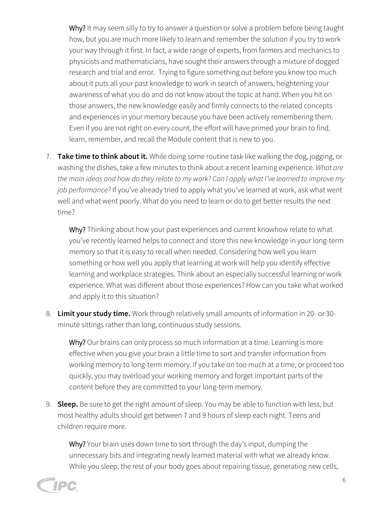Why? It may seem silly to try to answer a question or solve a problem before being taught how, but you are much more likely to learn and remember the solution if you try to work your way through it first. In fact, a wide range of experts, from farmers and mechanics to physicists and mathematicians, have sought their answers through a mixture of dogged research and trial and error. Trying to figure something out before you know too much about it puts all your past knowledge to work in search of answers, heightening your awareness of what you do and do not know about the topic at hand. When you hit on those answers, the new knowledge easily and firmly connects to the related concepts and experiences in your memory because you have been actively remembering them. Even if you are not right on every count, the effort will have primed your brain to find, learn, remember, and recall the Module content that is new to you.

7. **Take time to think about it.** While doing some routine task like walking the dog, jogging, or washing the dishes, take a few minutes to think about a recent learning experience. *What are the main ideas and how do they relate to my work? Can I apply what I've learned to improve my job performance?* If you've already tried to apply what you've learned at work, ask what went well and what went poorly. What do you need to learn or do to get better results the next time?

Why? Thinking about how your past experiences and current knowhow relate to what you've recently learned helps to connect and store this new knowledge in your long-term memory so that it is easy to recall when needed. Considering how well you learn something or how well you apply that learning at work will help you identify effective learning and workplace strategies. Think about an especially successful learning or work experience. What was different about those experiences? How can you take what worked and apply it to this situation?

8. **Limit your study time.** Work through relatively small amounts of information in 20- or 30 minute sittings rather than long, continuous study sessions.

Why? Our brains can only process so much information at a time. Learning is more effective when you give your brain a little time to sort and transfer information from working memory to long-term memory. If you take on too much at a time, or proceed too quickly, you may overload your working memory and forget important parts of the content before they are committed to your long-term memory.

9. **Sleep.** Be sure to get the right amount of sleep. You may be able to function with less, but most healthy adults should get between 7 and 9 hours of sleep each night. Teens and children require more.

Why? Your brain uses down time to sort through the day's input, dumping the unnecessary bits and integrating newly learned material with what we already know. While you sleep, the rest of your body goes about repairing tissue, generating new cells,

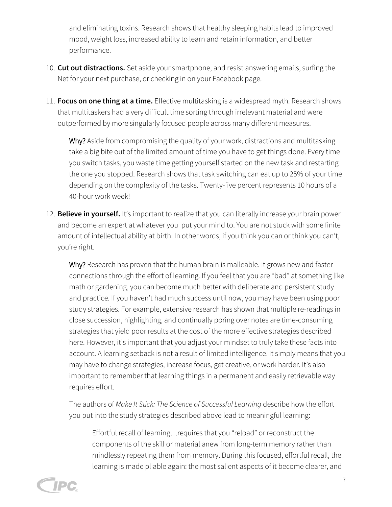and eliminating toxins. Research shows that healthy sleeping habits lead to improved mood, weight loss, increased ability to learn and retain information, and better performance.

- 10. **Cut out distractions.** Set aside your smartphone, and resist answering emails, surfing the Net for your next purchase, or checking in on your Facebook page.
- 11. **Focus on one thing at a time.** Effective multitasking is a widespread myth. Research shows that multitaskers had a very difficult time sorting through irrelevant material and were outperformed by more singularly focused people across many different measures.

Why? Aside from compromising the quality of your work, distractions and multitasking take a big bite out of the limited amount of time you have to get things done. Every time you switch tasks, you waste time getting yourself started on the new task and restarting the one you stopped. Research shows that task switching can eat up to 25% of your time depending on the complexity of the tasks. Twenty-five percent represents 10 hours of a 40-hour work week!

12. **Believe in yourself.** It's important to realize that you can literally increase your brain power and become an expert at whatever you put your mind to. You are not stuck with some finite amount of intellectual ability at birth. In other words, if you think you can or think you can't, you're right.

Why? Research has proven that the human brain is malleable. It grows new and faster connections through the effort of learning. If you feel that you are "bad" at something like math or gardening, you can become much better with deliberate and persistent study and practice. If you haven't had much success until now, you may have been using poor study strategies. For example, extensive research has shown that multiple re-readings in close succession, highlighting, and continually poring over notes are time-consuming strategies that yield poor results at the cost of the more effective strategies described here. However, it's important that you adjust your mindset to truly take these facts into account. A learning setback is not a result of limited intelligence. It simply means that you may have to change strategies, increase focus, get creative, or work harder. It's also important to remember that learning things in a permanent and easily retrievable way requires effort.

The authors of *Make It Stick: The Science of Successful Learning* describe how the effort you put into the study strategies described above lead to meaningful learning:

Effortful recall of learning…requires that you "reload" or reconstruct the components of the skill or material anew from long-term memory rather than mindlessly repeating them from memory. During this focused, effortful recall, the learning is made pliable again: the most salient aspects of it become clearer, and